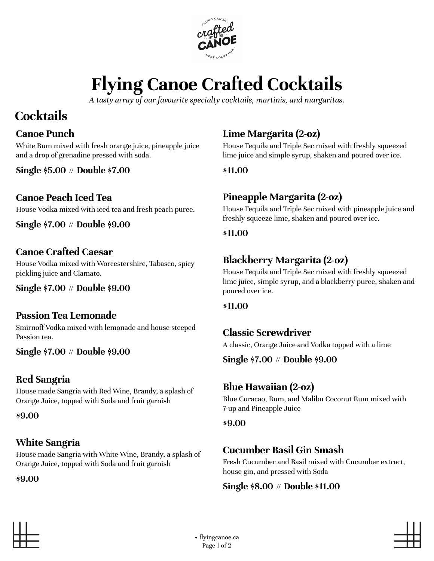

# **Flying Canoe Crafted Cocktails**

*A tasty array of our favourite specialty cocktails, martinis, and margaritas.*

# **Cocktails**

#### **Canoe Punch**

White Rum mixed with fresh orange juice, pineapple juice and a drop of grenadine pressed with soda.

**Single \$5.00** // **Double \$7.00**

#### **Canoe Peach Iced Tea**

House Vodka mixed with iced tea and fresh peach puree.

**Single \$7.00** // **Double \$9.00**

#### **Canoe Crafted Caesar**

House Vodka mixed with Worcestershire, Tabasco, spicy pickling juice and Clamato.

**Single \$7.00** // **Double \$9.00**

#### **Passion Tea Lemonade**

Smirnoff Vodka mixed with lemonade and house steeped Passion tea.

**Single \$7.00** // **Double \$9.00**

#### **Red Sangria**

House made Sangria with Red Wine, Brandy, a splash of Orange Juice, topped with Soda and fruit garnish

**\$9.00**

#### **White Sangria**

House made Sangria with White Wine, Brandy, a splash of Orange Juice, topped with Soda and fruit garnish

**\$9.00**

### **Lime Margarita (2-oz)**

House Tequila and Triple Sec mixed with freshly squeezed lime juice and simple syrup, shaken and poured over ice.

**\$11.00**

#### **Pineapple Margarita (2-oz)**

House Tequila and Triple Sec mixed with pineapple juice and freshly squeeze lime, shaken and poured over ice.

#### **\$11.00**

#### **Blackberry Margarita (2-oz)**

House Tequila and Triple Sec mixed with freshly squeezed lime juice, simple syrup, and a blackberry puree, shaken and poured over ice.

#### **\$11.00**

#### **Classic Screwdriver**

A classic, Orange Juice and Vodka topped with a lime

**Single \$7.00** // **Double \$9.00**

#### **Blue Hawaiian (2-oz)**

Blue Curacao, Rum, and Malibu Coconut Rum mixed with 7-up and Pineapple Juice

#### **\$9.00**

#### **Cucumber Basil Gin Smash**

Fresh Cucumber and Basil mixed with Cucumber extract, house gin, and pressed with Soda

#### **Single \$8.00** // **Double \$11.00**